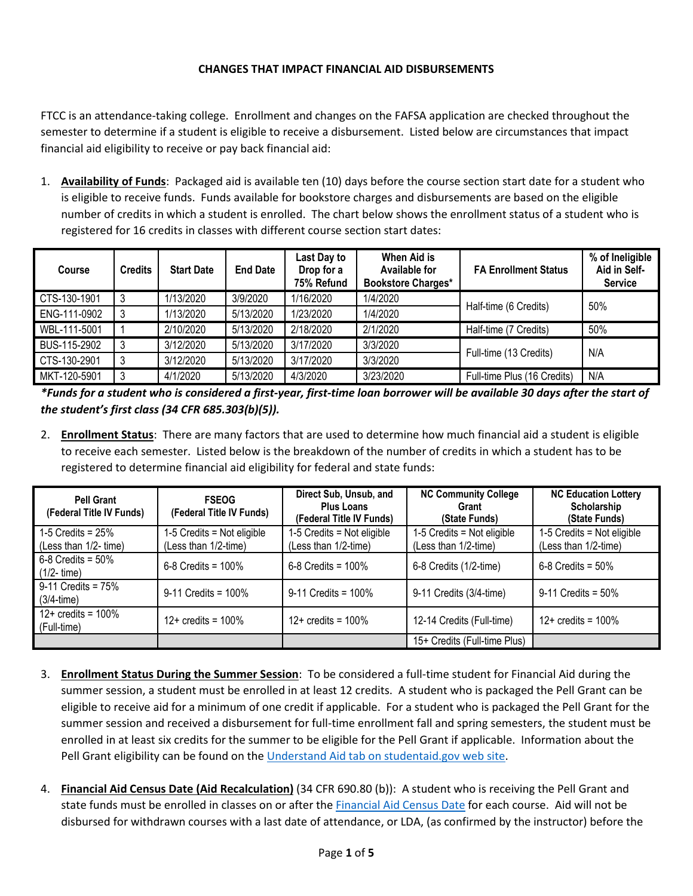## **CHANGES THAT IMPACT FINANCIAL AID DISBURSEMENTS**

FTCC is an attendance-taking college. Enrollment and changes on the FAFSA application are checked throughout the semester to determine if a student is eligible to receive a disbursement. Listed below are circumstances that impact financial aid eligibility to receive or pay back financial aid:

1. **Availability of Funds**: Packaged aid is available ten (10) days before the course section start date for a student who is eligible to receive funds. Funds available for bookstore charges and disbursements are based on the eligible number of credits in which a student is enrolled. The chart below shows the enrollment status of a student who is registered for 16 credits in classes with different course section start dates:

| <b>Course</b> | <b>Credits</b> | <b>Start Date</b> | <b>End Date</b> | Last Day to<br>Drop for a<br>75% Refund | <b>When Aid is</b><br><b>Available for</b><br><b>Bookstore Charges*</b> | <b>FA Enrollment Status</b> | % of Ineligible<br>Aid in Self-<br><b>Service</b> |
|---------------|----------------|-------------------|-----------------|-----------------------------------------|-------------------------------------------------------------------------|-----------------------------|---------------------------------------------------|
| CTS-130-1901  | 3              | 1/13/2020         | 3/9/2020        | 1/16/2020                               | 1/4/2020                                                                |                             | 50%                                               |
| ENG-111-0902  | 3              | 1/13/2020         | 5/13/2020       | 1/23/2020                               | 1/4/2020                                                                | Half-time (6 Credits)       |                                                   |
| WBL-111-5001  |                | 2/10/2020         | 5/13/2020       | 2/18/2020                               | 2/1/2020                                                                | Half-time (7 Credits)       | 50%                                               |
| BUS-115-2902  |                | 3/12/2020         | 5/13/2020       | 3/17/2020                               | 3/3/2020                                                                |                             | N/A                                               |
| CTS-130-2901  |                | 3/12/2020         | 5/13/2020       | 3/17/2020                               | 3/3/2020                                                                | Full-time (13 Credits)      |                                                   |
| MKT-120-5901  | 3              | 4/1/2020          | 5/13/2020       | 4/3/2020                                | 3/23/2020                                                               | Full-time Plus (16 Credits) | N/A                                               |

*\*Funds for a student who is considered a first-year, first-time loan borrower will be available 30 days after the start of the student's first class (34 CFR 685.303(b)(5)).* 

2. **Enrollment Status**: There are many factors that are used to determine how much financial aid a student is eligible to receive each semester. Listed below is the breakdown of the number of credits in which a student has to be registered to determine financial aid eligibility for federal and state funds:

| <b>Pell Grant</b><br>(Federal Title IV Funds) | <b>FSEOG</b><br>(Federal Title IV Funds)             | Direct Sub, Unsub, and<br><b>Plus Loans</b><br>(Federal Title IV Funds) | <b>NC Community College</b><br>Grant<br>(State Funds) | <b>NC Education Lottery</b><br>Scholarship<br>(State Funds) |
|-----------------------------------------------|------------------------------------------------------|-------------------------------------------------------------------------|-------------------------------------------------------|-------------------------------------------------------------|
| 1-5 Credits = $25\%$<br>(Less than 1/2- time) | $1-5$ Credits = Not eligible<br>(Less than 1/2-time) | 1-5 Credits = Not eligible<br>(Less than 1/2-time)                      | $1-5$ Credits = Not eligible<br>(Less than 1/2-time)  | $1-5$ Credits = Not eligible<br>(Less than 1/2-time)        |
| $6-8$ Credits = $50\%$<br>$(1/2 - time)$      | $6 - 8$ Credits = 100%                               | 6-8 Credits = $100\%$                                                   | 6-8 Credits (1/2-time)                                | $6 - 8$ Credits = 50%                                       |
| $9-11$ Credits = $75%$<br>$(3/4-time)$        | $9-11$ Credits = 100%                                | $9-11$ Credits = 100%                                                   | 9-11 Credits (3/4-time)                               | $9-11$ Credits = 50%                                        |
| $12 + \text{credits} = 100\%$<br>(Full-time)  | $12+$ credits = $100\%$                              | $12+$ credits = $100\%$                                                 | 12-14 Credits (Full-time)                             | $12+$ credits = $100\%$                                     |
|                                               |                                                      |                                                                         | 15+ Credits (Full-time Plus)                          |                                                             |

- 3. **Enrollment Status During the Summer Session**: To be considered a full-time student for Financial Aid during the summer session, a student must be enrolled in at least 12 credits. A student who is packaged the Pell Grant can be eligible to receive aid for a minimum of one credit if applicable. For a student who is packaged the Pell Grant for the summer session and received a disbursement for full-time enrollment fall and spring semesters, the student must be enrolled in at least six credits for the summer to be eligible for the Pell Grant if applicable. Information about the Pell Grant eligibility can be found on the [Understand Aid tab on studentaid.gov web site.](https://studentaid.gov/h/understand-aid)
- 4. **Financial Aid Census Date (Aid Recalculation)** (34 CFR 690.80 (b)): A student who is receiving the Pell Grant and state funds must be enrolled in classes on or after th[e Financial Aid Census Date](https://www2.faytechcc.edu/financial-aid/FinancialAidRecalculationPolicy.pdf) for each course. Aid will not be disbursed for withdrawn courses with a last date of attendance, or LDA, (as confirmed by the instructor) before the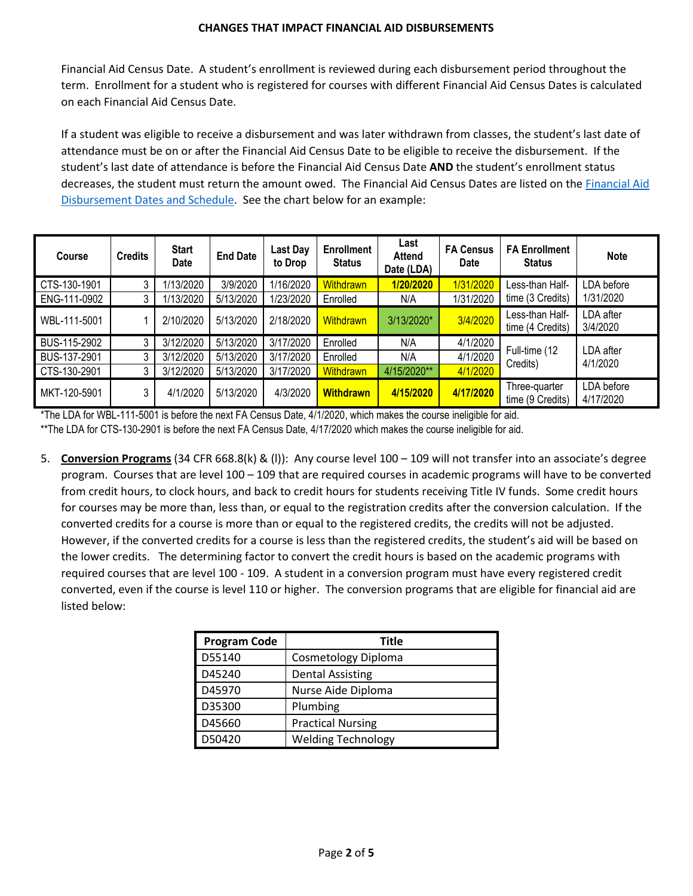Financial Aid Census Date. A student's enrollment is reviewed during each disbursement period throughout the term. Enrollment for a student who is registered for courses with different Financial Aid Census Dates is calculated on each Financial Aid Census Date.

If a student was eligible to receive a disbursement and was later withdrawn from classes, the student's last date of attendance must be on or after the Financial Aid Census Date to be eligible to receive the disbursement. If the student's last date of attendance is before the Financial Aid Census Date **AND** the student's enrollment status decreases, the student must return the amount owed. The Financial Aid Census Dates are listed on the [Financial Aid](https://www.faytechcc.edu/financial-aid/#sts=Financial%20Aid%20Disbursement%20-%20Important%20Dates,%20Deadlines,%20and%20Information)  [Disbursement Dates and Schedule.](https://www.faytechcc.edu/financial-aid/#sts=Financial%20Aid%20Disbursement%20-%20Important%20Dates,%20Deadlines,%20and%20Information) See the chart below for an example:

| <b>Course</b> | <b>Credits</b> | <b>Start</b><br><b>Date</b> | <b>End Date</b> | Last Day<br>to Drop | <b>Enrollment</b><br><b>Status</b> | Last<br><b>Attend</b><br>Date (LDA) | <b>FA Census</b><br><b>Date</b> | <b>FA Enrollment</b><br><b>Status</b> | <b>Note</b>             |
|---------------|----------------|-----------------------------|-----------------|---------------------|------------------------------------|-------------------------------------|---------------------------------|---------------------------------------|-------------------------|
| CTS-130-1901  | 3              | 1/13/2020                   | 3/9/2020        | 1/16/2020           | <b>Withdrawn</b>                   | 1/20/2020                           | 1/31/2020                       | Less-than Half-                       | LDA before              |
| ENG-111-0902  | 3              | 1/13/2020                   | 5/13/2020       | 1/23/2020           | Enrolled                           | N/A                                 | 1/31/2020                       | time (3 Credits)                      | 1/31/2020               |
| WBL-111-5001  |                | 2/10/2020                   | 5/13/2020       | 2/18/2020           | <b>Withdrawn</b>                   | 3/13/2020*                          | 3/4/2020                        | Less-than Half-<br>time (4 Credits)   | LDA after<br>3/4/2020   |
| BUS-115-2902  | 3              | 3/12/2020                   | 5/13/2020       | 3/17/2020           | Enrolled                           | N/A                                 | 4/1/2020                        |                                       | LDA after<br>4/1/2020   |
| BUS-137-2901  | 3              | 3/12/2020                   | 5/13/2020       | 3/17/2020           | Enrolled                           | N/A                                 | 4/1/2020                        | Full-time (12<br>Credits)             |                         |
| CTS-130-2901  | 3              | 3/12/2020                   | 5/13/2020       | 3/17/2020           | <b>Withdrawn</b>                   | 4/15/2020**                         | 4/1/2020                        |                                       |                         |
| MKT-120-5901  | 3              | 4/1/2020                    | 5/13/2020       | 4/3/2020            | <b>Withdrawn</b>                   | 4/15/2020                           | 4/17/2020                       | Three-quarter<br>time (9 Credits)     | LDA before<br>4/17/2020 |

\*The LDA for WBL-111-5001 is before the next FA Census Date, 4/1/2020, which makes the course ineligible for aid. \*\*The LDA for CTS-130-2901 is before the next FA Census Date, 4/17/2020 which makes the course ineligible for aid.

5. **Conversion Programs** (34 CFR 668.8(k) & (l)): Any course level 100 – 109 will not transfer into an associate's degree program. Courses that are level 100 – 109 that are required courses in academic programs will have to be converted from credit hours, to clock hours, and back to credit hours for students receiving Title IV funds. Some credit hours for courses may be more than, less than, or equal to the registration credits after the conversion calculation. If the converted credits for a course is more than or equal to the registered credits, the credits will not be adjusted. However, if the converted credits for a course is less than the registered credits, the student's aid will be based on the lower credits. The determining factor to convert the credit hours is based on the academic programs with required courses that are level 100 - 109. A student in a conversion program must have every registered credit converted, even if the course is level 110 or higher. The conversion programs that are eligible for financial aid are listed below:

| <b>Program Code</b> | <b>Title</b>              |
|---------------------|---------------------------|
| D55140              | Cosmetology Diploma       |
| D45240              | <b>Dental Assisting</b>   |
| D45970              | Nurse Aide Diploma        |
| D35300              | Plumbing                  |
| D45660              | <b>Practical Nursing</b>  |
| D50420              | <b>Welding Technology</b> |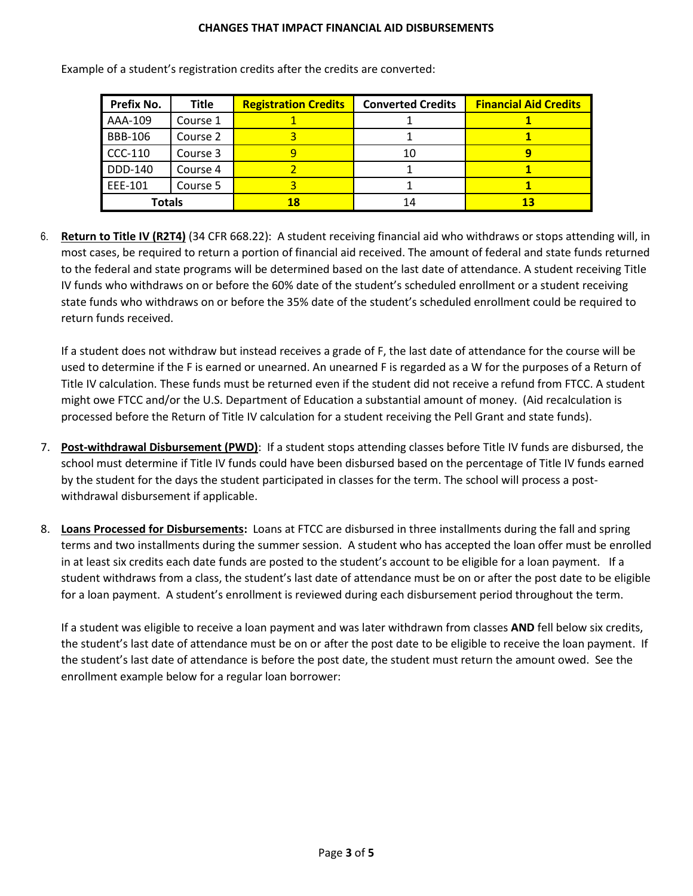## **CHANGES THAT IMPACT FINANCIAL AID DISBURSEMENTS**

| Prefix No.     | <b>Title</b> | <b>Registration Credits</b> | <b>Converted Credits</b> | <b>Financial Aid Credits</b> |
|----------------|--------------|-----------------------------|--------------------------|------------------------------|
| AAA-109        | Course 1     |                             |                          |                              |
| <b>BBB-106</b> | Course 2     |                             |                          |                              |
| <b>CCC-110</b> | Course 3     |                             | 10                       |                              |
| DDD-140        | Course 4     |                             |                          |                              |
| EEE-101        | Course 5     |                             |                          |                              |
| <b>Totals</b>  |              | 18                          | 14                       |                              |

Example of a student's registration credits after the credits are converted:

6. **Return to Title IV (R2T4)** (34 CFR 668.22): A student receiving financial aid who withdraws or stops attending will, in most cases, be required to return a portion of financial aid received. The amount of federal and state funds returned to the federal and state programs will be determined based on the last date of attendance. A student receiving Title IV funds who withdraws on or before the 60% date of the student's scheduled enrollment or a student receiving state funds who withdraws on or before the 35% date of the student's scheduled enrollment could be required to return funds received.

If a student does not withdraw but instead receives a grade of F, the last date of attendance for the course will be used to determine if the F is earned or unearned. An unearned F is regarded as a W for the purposes of a Return of Title IV calculation. These funds must be returned even if the student did not receive a refund from FTCC. A student might owe FTCC and/or the U.S. Department of Education a substantial amount of money. (Aid recalculation is processed before the Return of Title IV calculation for a student receiving the Pell Grant and state funds).

- 7. **Post-withdrawal Disbursement (PWD)**: If a student stops attending classes before Title IV funds are disbursed, the school must determine if Title IV funds could have been disbursed based on the percentage of Title IV funds earned by the student for the days the student participated in classes for the term. The school will process a postwithdrawal disbursement if applicable.
- 8. **Loans Processed for Disbursements:** Loans at FTCC are disbursed in three installments during the fall and spring terms and two installments during the summer session. A student who has accepted the loan offer must be enrolled in at least six credits each date funds are posted to the student's account to be eligible for a loan payment. If a student withdraws from a class, the student's last date of attendance must be on or after the post date to be eligible for a loan payment. A student's enrollment is reviewed during each disbursement period throughout the term.

If a student was eligible to receive a loan payment and was later withdrawn from classes **AND** fell below six credits, the student's last date of attendance must be on or after the post date to be eligible to receive the loan payment. If the student's last date of attendance is before the post date, the student must return the amount owed. See the enrollment example below for a regular loan borrower: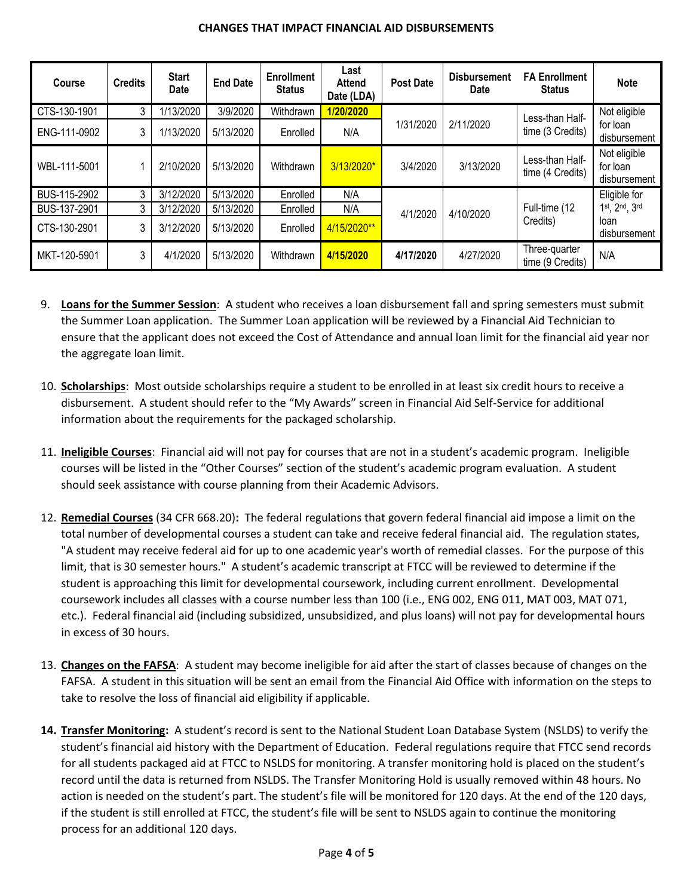## **CHANGES THAT IMPACT FINANCIAL AID DISBURSEMENTS**

| <b>Course</b> | <b>Credits</b> | <b>Start</b><br>Date | <b>End Date</b> | <b>Enrollment</b><br><b>Status</b> | Last<br><b>Attend</b><br>Date (LDA) | <b>Post Date</b> | <b>Disbursement</b><br><b>Date</b> | <b>FA Enrollment</b><br><b>Status</b> | <b>Note</b>                              |
|---------------|----------------|----------------------|-----------------|------------------------------------|-------------------------------------|------------------|------------------------------------|---------------------------------------|------------------------------------------|
| CTS-130-1901  | 3              | 1/13/2020            | 3/9/2020        | Withdrawn                          | 1/20/2020                           |                  |                                    | Less-than Half-                       | Not eligible                             |
| ENG-111-0902  | 3              | 1/13/2020            | 5/13/2020       | Enrolled                           | N/A                                 | 1/31/2020        | 2/11/2020                          | time (3 Credits)                      | for loan<br>disbursement                 |
| WBL-111-5001  |                | 2/10/2020            | 5/13/2020       | Withdrawn                          | 3/13/2020*                          | 3/4/2020         | 3/13/2020                          | Less-than Half-<br>time (4 Credits)   | Not eligible<br>for loan<br>disbursement |
| BUS-115-2902  | 3              | 3/12/2020            | 5/13/2020       | Enrolled                           | N/A                                 |                  |                                    |                                       | Eligible for                             |
| BUS-137-2901  | 3              | 3/12/2020            | 5/13/2020       | Enrolled                           | N/A                                 | 4/1/2020         | 4/10/2020                          | Full-time (12                         | 1st, 2nd, 3rd                            |
| CTS-130-2901  | 3              | 3/12/2020            | 5/13/2020       | Enrolled                           | 4/15/2020**                         |                  |                                    | Credits)                              | loan<br>disbursement                     |
| MKT-120-5901  | 3              | 4/1/2020             | 5/13/2020       | Withdrawn                          | 4/15/2020                           | 4/17/2020        | 4/27/2020                          | Three-quarter<br>time (9 Credits)     | N/A                                      |

- 9. **Loans for the Summer Session**: A student who receives a loan disbursement fall and spring semesters must submit the Summer Loan application. The Summer Loan application will be reviewed by a Financial Aid Technician to ensure that the applicant does not exceed the Cost of Attendance and annual loan limit for the financial aid year nor the aggregate loan limit.
- 10. **Scholarships**: Most outside scholarships require a student to be enrolled in at least six credit hours to receive a disbursement. A student should refer to the "My Awards" screen in Financial Aid Self-Service for additional information about the requirements for the packaged scholarship.
- 11. **Ineligible Courses**: Financial aid will not pay for courses that are not in a student's academic program. Ineligible courses will be listed in the "Other Courses" section of the student's academic program evaluation. A student should seek assistance with course planning from their Academic Advisors.
- 12. **Remedial Courses** (34 CFR 668.20)**:** The federal regulations that govern federal financial aid impose a limit on the total number of developmental courses a student can take and receive federal financial aid. The regulation states, "A student may receive federal aid for up to one academic year's worth of remedial classes. For the purpose of this limit, that is 30 semester hours." A student's academic transcript at FTCC will be reviewed to determine if the student is approaching this limit for developmental coursework, including current enrollment. Developmental coursework includes all classes with a course number less than 100 (i.e., ENG 002, ENG 011, MAT 003, MAT 071, etc.). Federal financial aid (including subsidized, unsubsidized, and plus loans) will not pay for developmental hours in excess of 30 hours.
- 13. **Changes on the FAFSA**: A student may become ineligible for aid after the start of classes because of changes on the FAFSA. A student in this situation will be sent an email from the Financial Aid Office with information on the steps to take to resolve the loss of financial aid eligibility if applicable.
- **14. Transfer Monitoring:** A student's record is sent to the National Student Loan Database System (NSLDS) to verify the student's financial aid history with the Department of Education. Federal regulations require that FTCC send records for all students packaged aid at FTCC to NSLDS for monitoring. A transfer monitoring hold is placed on the student's record until the data is returned from NSLDS. The Transfer Monitoring Hold is usually removed within 48 hours. No action is needed on the student's part. The student's file will be monitored for 120 days. At the end of the 120 days, if the student is still enrolled at FTCC, the student's file will be sent to NSLDS again to continue the monitoring process for an additional 120 days.